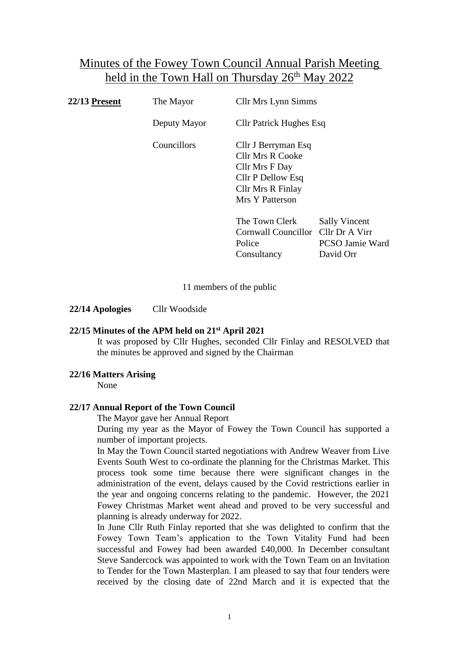# Minutes of the Fowey Town Council Annual Parish Meeting held in the Town Hall on Thursday 26<sup>th</sup> May 2022

| <b>22/13 Present</b> | The Mayor    | <b>Cllr Mrs Lynn Simms</b>                                                                                                    |                                                             |  |
|----------------------|--------------|-------------------------------------------------------------------------------------------------------------------------------|-------------------------------------------------------------|--|
|                      | Deputy Mayor | <b>Cllr Patrick Hughes Esq</b>                                                                                                |                                                             |  |
|                      | Councillors  | Cllr J Berryman Esq<br><b>Cllr Mrs R Cooke</b><br>Cllr Mrs F Day<br>Cllr P Dellow Esq<br>Cllr Mrs R Finlay<br>Mrs Y Patterson |                                                             |  |
|                      |              | The Town Clerk<br>Cornwall Councillor Cllr Dr A Virr<br>Police<br>Consultancy                                                 | <b>Sally Vincent</b><br><b>PCSO Jamie Ward</b><br>David Orr |  |

11 members of the public

**22/14 Apologies** Cllr Woodside

# **22/15 Minutes of the APM held on 21st April 2021**

It was proposed by Cllr Hughes, seconded Cllr Finlay and RESOLVED that the minutes be approved and signed by the Chairman

## **22/16 Matters Arising**

None

# **22/17 Annual Report of the Town Council**

The Mayor gave her Annual Report

During my year as the Mayor of Fowey the Town Council has supported a number of important projects.

In May the Town Council started negotiations with Andrew Weaver from Live Events South West to co-ordinate the planning for the Christmas Market. This process took some time because there were significant changes in the administration of the event, delays caused by the Covid restrictions earlier in the year and ongoing concerns relating to the pandemic. However, the 2021 Fowey Christmas Market went ahead and proved to be very successful and planning is already underway for 2022.

In June Cllr Ruth Finlay reported that she was delighted to confirm that the Fowey Town Team's application to the Town Vitality Fund had been successful and Fowey had been awarded £40,000. In December consultant Steve Sandercock was appointed to work with the Town Team on an Invitation to Tender for the Town Masterplan. I am pleased to say that four tenders were received by the closing date of 22nd March and it is expected that the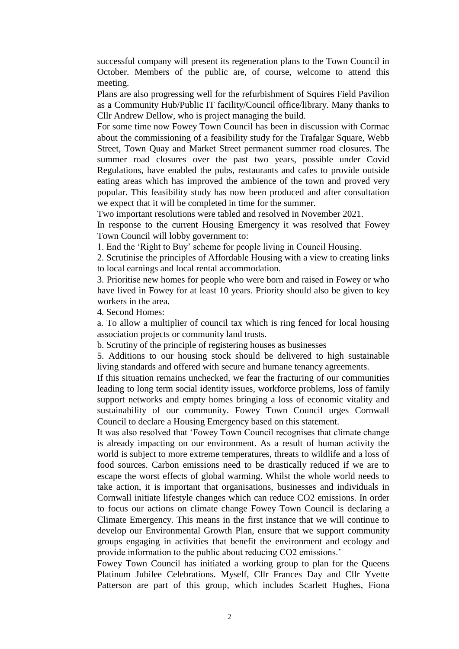successful company will present its regeneration plans to the Town Council in October. Members of the public are, of course, welcome to attend this meeting.

Plans are also progressing well for the refurbishment of Squires Field Pavilion as a Community Hub/Public IT facility/Council office/library. Many thanks to Cllr Andrew Dellow, who is project managing the build.

For some time now Fowey Town Council has been in discussion with Cormac about the commissioning of a feasibility study for the Trafalgar Square, Webb Street, Town Quay and Market Street permanent summer road closures. The summer road closures over the past two years, possible under Covid Regulations, have enabled the pubs, restaurants and cafes to provide outside eating areas which has improved the ambience of the town and proved very popular. This feasibility study has now been produced and after consultation we expect that it will be completed in time for the summer.

Two important resolutions were tabled and resolved in November 2021.

In response to the current Housing Emergency it was resolved that Fowey Town Council will lobby government to:

1. End the 'Right to Buy' scheme for people living in Council Housing.

2. Scrutinise the principles of Affordable Housing with a view to creating links to local earnings and local rental accommodation.

3. Prioritise new homes for people who were born and raised in Fowey or who have lived in Fowey for at least 10 years. Priority should also be given to key workers in the area.

4. Second Homes:

a. To allow a multiplier of council tax which is ring fenced for local housing association projects or community land trusts.

b. Scrutiny of the principle of registering houses as businesses

5. Additions to our housing stock should be delivered to high sustainable living standards and offered with secure and humane tenancy agreements.

If this situation remains unchecked, we fear the fracturing of our communities leading to long term social identity issues, workforce problems, loss of family support networks and empty homes bringing a loss of economic vitality and sustainability of our community. Fowey Town Council urges Cornwall Council to declare a Housing Emergency based on this statement.

It was also resolved that 'Fowey Town Council recognises that climate change is already impacting on our environment. As a result of human activity the world is subject to more extreme temperatures, threats to wildlife and a loss of food sources. Carbon emissions need to be drastically reduced if we are to escape the worst effects of global warming. Whilst the whole world needs to take action, it is important that organisations, businesses and individuals in Cornwall initiate lifestyle changes which can reduce CO2 emissions. In order to focus our actions on climate change Fowey Town Council is declaring a Climate Emergency. This means in the first instance that we will continue to develop our Environmental Growth Plan, ensure that we support community groups engaging in activities that benefit the environment and ecology and provide information to the public about reducing CO2 emissions.'

Fowey Town Council has initiated a working group to plan for the Queens Platinum Jubilee Celebrations. Myself, Cllr Frances Day and Cllr Yvette Patterson are part of this group, which includes Scarlett Hughes, Fiona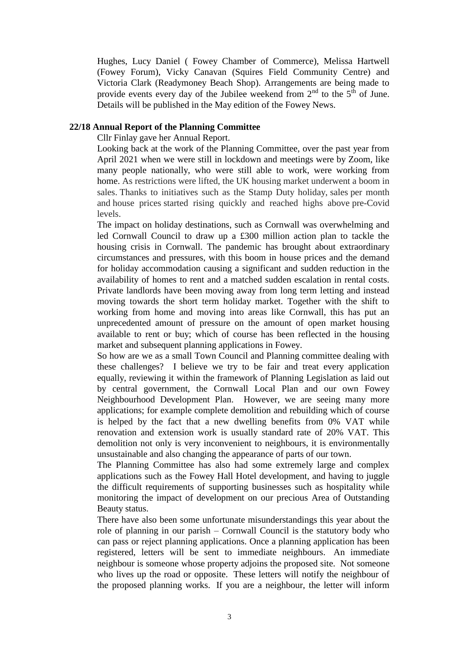Hughes, Lucy Daniel ( Fowey Chamber of Commerce), Melissa Hartwell (Fowey Forum), Vicky Canavan (Squires Field Community Centre) and Victoria Clark (Readymoney Beach Shop). Arrangements are being made to provide events every day of the Jubilee weekend from  $2<sup>nd</sup>$  to the  $5<sup>th</sup>$  of June. Details will be published in the May edition of the Fowey News.

# **22/18 Annual Report of the Planning Committee**

Cllr Finlay gave her Annual Report.

Looking back at the work of the Planning Committee, over the past year from April 2021 when we were still in lockdown and meetings were by Zoom, like many people nationally, who were still able to work, were working from home. As restrictions were lifted, the UK housing market underwent a boom in sales. Thanks to initiatives such as the Stamp Duty holiday, sales per month and house prices started rising quickly and reached highs above pre-Covid levels.

The impact on holiday destinations, such as Cornwall was overwhelming and led Cornwall Council to draw up a £300 million action plan to tackle the housing crisis in Cornwall. The pandemic has brought about extraordinary circumstances and pressures, with this boom in house prices and the demand for holiday accommodation causing a significant and sudden reduction in the availability of homes to rent and a matched sudden escalation in rental costs. Private landlords have been moving away from long term letting and instead moving towards the short term holiday market. Together with the shift to working from home and moving into areas like Cornwall, this has put an unprecedented amount of pressure on the amount of open market housing available to rent or buy; which of course has been reflected in the housing market and subsequent planning applications in Fowey.

So how are we as a small Town Council and Planning committee dealing with these challenges? I believe we try to be fair and treat every application equally, reviewing it within the framework of Planning Legislation as laid out by central government, the Cornwall Local Plan and our own Fowey Neighbourhood Development Plan. However, we are seeing many more applications; for example complete demolition and rebuilding which of course is helped by the fact that a new dwelling benefits from 0% VAT while renovation and extension work is usually standard rate of 20% VAT. This demolition not only is very inconvenient to neighbours, it is environmentally unsustainable and also changing the appearance of parts of our town.

The Planning Committee has also had some extremely large and complex applications such as the Fowey Hall Hotel development, and having to juggle the difficult requirements of supporting businesses such as hospitality while monitoring the impact of development on our precious Area of Outstanding Beauty status.

There have also been some unfortunate misunderstandings this year about the role of planning in our parish – Cornwall Council is the statutory body who can pass or reject planning applications. Once a planning application has been registered, letters will be sent to immediate neighbours. An immediate neighbour is someone whose property adjoins the proposed site. Not someone who lives up the road or opposite. These letters will notify the neighbour of the proposed planning works. If you are a neighbour, the letter will inform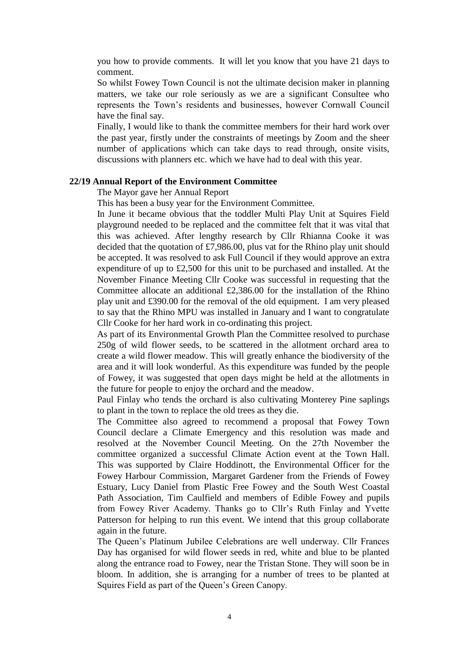you how to provide comments. It will let you know that you have 21 days to comment.

So whilst Fowey Town Council is not the ultimate decision maker in planning matters, we take our role seriously as we are a significant Consultee who represents the Town's residents and businesses, however Cornwall Council have the final say.

Finally, I would like to thank the committee members for their hard work over the past year, firstly under the constraints of meetings by Zoom and the sheer number of applications which can take days to read through, onsite visits, discussions with planners etc. which we have had to deal with this year.

## **22/19 Annual Report of the Environment Committee**

The Mayor gave her Annual Report

This has been a busy year for the Environment Committee.

In June it became obvious that the toddler Multi Play Unit at Squires Field playground needed to be replaced and the committee felt that it was vital that this was achieved. After lengthy research by Cllr Rhianna Cooke it was decided that the quotation of £7,986.00, plus vat for the Rhino play unit should be accepted. It was resolved to ask Full Council if they would approve an extra expenditure of up to £2,500 for this unit to be purchased and installed. At the November Finance Meeting Cllr Cooke was successful in requesting that the Committee allocate an additional £2,386.00 for the installation of the Rhino play unit and £390.00 for the removal of the old equipment. I am very pleased to say that the Rhino MPU was installed in January and I want to congratulate Cllr Cooke for her hard work in co-ordinating this project.

As part of its Environmental Growth Plan the Committee resolved to purchase 250g of wild flower seeds, to be scattered in the allotment orchard area to create a wild flower meadow. This will greatly enhance the biodiversity of the area and it will look wonderful. As this expenditure was funded by the people of Fowey, it was suggested that open days might be held at the allotments in the future for people to enjoy the orchard and the meadow.

Paul Finlay who tends the orchard is also cultivating Monterey Pine saplings to plant in the town to replace the old trees as they die.

The Committee also agreed to recommend a proposal that Fowey Town Council declare a Climate Emergency and this resolution was made and resolved at the November Council Meeting. On the 27th November the committee organized a successful Climate Action event at the Town Hall. This was supported by Claire Hoddinott, the Environmental Officer for the Fowey Harbour Commission, Margaret Gardener from the Friends of Fowey Estuary, Lucy Daniel from Plastic Free Fowey and the South West Coastal Path Association, Tim Caulfield and members of Edible Fowey and pupils from Fowey River Academy. Thanks go to Cllr's Ruth Finlay and Yvette Patterson for helping to run this event. We intend that this group collaborate again in the future.

The Queen's Platinum Jubilee Celebrations are well underway. Cllr Frances Day has organised for wild flower seeds in red, white and blue to be planted along the entrance road to Fowey, near the Tristan Stone. They will soon be in bloom. In addition, she is arranging for a number of trees to be planted at Squires Field as part of the Queen's Green Canopy.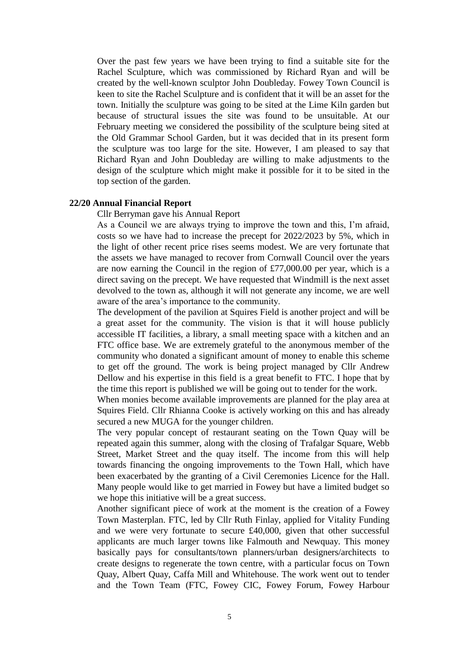Over the past few years we have been trying to find a suitable site for the Rachel Sculpture, which was commissioned by Richard Ryan and will be created by the well-known sculptor John Doubleday. Fowey Town Council is keen to site the Rachel Sculpture and is confident that it will be an asset for the town. Initially the sculpture was going to be sited at the Lime Kiln garden but because of structural issues the site was found to be unsuitable. At our February meeting we considered the possibility of the sculpture being sited at the Old Grammar School Garden, but it was decided that in its present form the sculpture was too large for the site. However, I am pleased to say that Richard Ryan and John Doubleday are willing to make adjustments to the design of the sculpture which might make it possible for it to be sited in the top section of the garden.

#### **22/20 Annual Financial Report**

Cllr Berryman gave his Annual Report

As a Council we are always trying to improve the town and this, I'm afraid, costs so we have had to increase the precept for 2022/2023 by 5%, which in the light of other recent price rises seems modest. We are very fortunate that the assets we have managed to recover from Cornwall Council over the years are now earning the Council in the region of £77,000.00 per year, which is a direct saving on the precept. We have requested that Windmill is the next asset devolved to the town as, although it will not generate any income, we are well aware of the area's importance to the community.

The development of the pavilion at Squires Field is another project and will be a great asset for the community. The vision is that it will house publicly accessible IT facilities, a library, a small meeting space with a kitchen and an FTC office base. We are extremely grateful to the anonymous member of the community who donated a significant amount of money to enable this scheme to get off the ground. The work is being project managed by Cllr Andrew Dellow and his expertise in this field is a great benefit to FTC. I hope that by the time this report is published we will be going out to tender for the work.

When monies become available improvements are planned for the play area at Squires Field. Cllr Rhianna Cooke is actively working on this and has already secured a new MUGA for the younger children.

The very popular concept of restaurant seating on the Town Quay will be repeated again this summer, along with the closing of Trafalgar Square, Webb Street, Market Street and the quay itself. The income from this will help towards financing the ongoing improvements to the Town Hall, which have been exacerbated by the granting of a Civil Ceremonies Licence for the Hall. Many people would like to get married in Fowey but have a limited budget so we hope this initiative will be a great success.

Another significant piece of work at the moment is the creation of a Fowey Town Masterplan. FTC, led by Cllr Ruth Finlay, applied for Vitality Funding and we were very fortunate to secure £40,000, given that other successful applicants are much larger towns like Falmouth and Newquay. This money basically pays for consultants/town planners/urban designers/architects to create designs to regenerate the town centre, with a particular focus on Town Quay, Albert Quay, Caffa Mill and Whitehouse. The work went out to tender and the Town Team (FTC, Fowey CIC, Fowey Forum, Fowey Harbour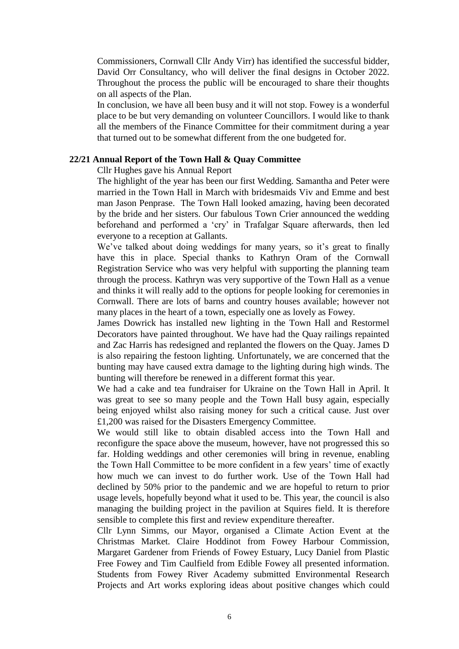Commissioners, Cornwall Cllr Andy Virr) has identified the successful bidder, David Orr Consultancy, who will deliver the final designs in October 2022. Throughout the process the public will be encouraged to share their thoughts on all aspects of the Plan.

In conclusion, we have all been busy and it will not stop. Fowey is a wonderful place to be but very demanding on volunteer Councillors. I would like to thank all the members of the Finance Committee for their commitment during a year that turned out to be somewhat different from the one budgeted for.

#### **22/21 Annual Report of the Town Hall & Quay Committee**

Cllr Hughes gave his Annual Report

The highlight of the year has been our first Wedding. Samantha and Peter were married in the Town Hall in March with bridesmaids Viv and Emme and best man Jason Penprase. The Town Hall looked amazing, having been decorated by the bride and her sisters. Our fabulous Town Crier announced the wedding beforehand and performed a 'cry' in Trafalgar Square afterwards, then led everyone to a reception at Gallants.

We've talked about doing weddings for many years, so it's great to finally have this in place. Special thanks to Kathryn Oram of the Cornwall Registration Service who was very helpful with supporting the planning team through the process. Kathryn was very supportive of the Town Hall as a venue and thinks it will really add to the options for people looking for ceremonies in Cornwall. There are lots of barns and country houses available; however not many places in the heart of a town, especially one as lovely as Fowey.

James Dowrick has installed new lighting in the Town Hall and Restormel Decorators have painted throughout. We have had the Quay railings repainted and Zac Harris has redesigned and replanted the flowers on the Quay. James D is also repairing the festoon lighting. Unfortunately, we are concerned that the bunting may have caused extra damage to the lighting during high winds. The bunting will therefore be renewed in a different format this year.

We had a cake and tea fundraiser for Ukraine on the Town Hall in April. It was great to see so many people and the Town Hall busy again, especially being enjoyed whilst also raising money for such a critical cause. Just over £1,200 was raised for the Disasters Emergency Committee.

We would still like to obtain disabled access into the Town Hall and reconfigure the space above the museum, however, have not progressed this so far. Holding weddings and other ceremonies will bring in revenue, enabling the Town Hall Committee to be more confident in a few years' time of exactly how much we can invest to do further work. Use of the Town Hall had declined by 50% prior to the pandemic and we are hopeful to return to prior usage levels, hopefully beyond what it used to be. This year, the council is also managing the building project in the pavilion at Squires field. It is therefore sensible to complete this first and review expenditure thereafter.

Cllr Lynn Simms, our Mayor, organised a Climate Action Event at the Christmas Market. Claire Hoddinot from Fowey Harbour Commission, Margaret Gardener from Friends of Fowey Estuary, Lucy Daniel from Plastic Free Fowey and Tim Caulfield from Edible Fowey all presented information. Students from Fowey River Academy submitted Environmental Research Projects and Art works exploring ideas about positive changes which could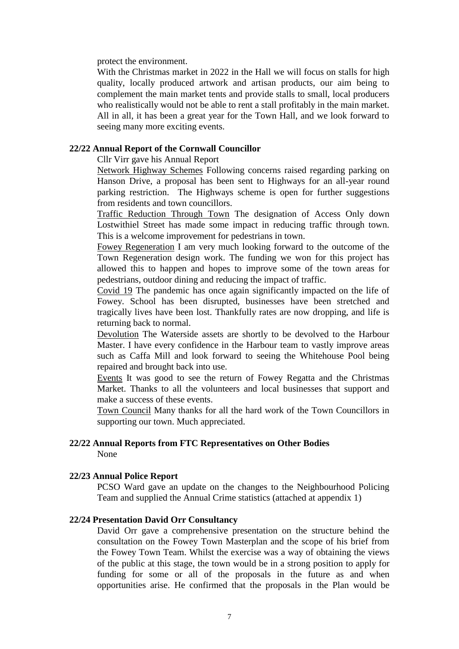protect the environment.

With the Christmas market in 2022 in the Hall we will focus on stalls for high quality, locally produced artwork and artisan products, our aim being to complement the main market tents and provide stalls to small, local producers who realistically would not be able to rent a stall profitably in the main market. All in all, it has been a great year for the Town Hall, and we look forward to seeing many more exciting events.

## **22/22 Annual Report of the Cornwall Councillor**

Cllr Virr gave his Annual Report

Network Highway Schemes Following concerns raised regarding parking on Hanson Drive, a proposal has been sent to Highways for an all-year round parking restriction. The Highways scheme is open for further suggestions from residents and town councillors.

Traffic Reduction Through Town The designation of Access Only down Lostwithiel Street has made some impact in reducing traffic through town. This is a welcome improvement for pedestrians in town.

Fowey Regeneration I am very much looking forward to the outcome of the Town Regeneration design work. The funding we won for this project has allowed this to happen and hopes to improve some of the town areas for pedestrians, outdoor dining and reducing the impact of traffic.

Covid 19 The pandemic has once again significantly impacted on the life of Fowey. School has been disrupted, businesses have been stretched and tragically lives have been lost. Thankfully rates are now dropping, and life is returning back to normal.

Devolution The Waterside assets are shortly to be devolved to the Harbour Master. I have every confidence in the Harbour team to vastly improve areas such as Caffa Mill and look forward to seeing the Whitehouse Pool being repaired and brought back into use.

Events It was good to see the return of Fowey Regatta and the Christmas Market. Thanks to all the volunteers and local businesses that support and make a success of these events.

Town Council Many thanks for all the hard work of the Town Councillors in supporting our town. Much appreciated.

# **22/22 Annual Reports from FTC Representatives on Other Bodies** None

## **22/23 Annual Police Report**

PCSO Ward gave an update on the changes to the Neighbourhood Policing Team and supplied the Annual Crime statistics (attached at appendix 1)

# **22/24 Presentation David Orr Consultancy**

David Orr gave a comprehensive presentation on the structure behind the consultation on the Fowey Town Masterplan and the scope of his brief from the Fowey Town Team. Whilst the exercise was a way of obtaining the views of the public at this stage, the town would be in a strong position to apply for funding for some or all of the proposals in the future as and when opportunities arise. He confirmed that the proposals in the Plan would be